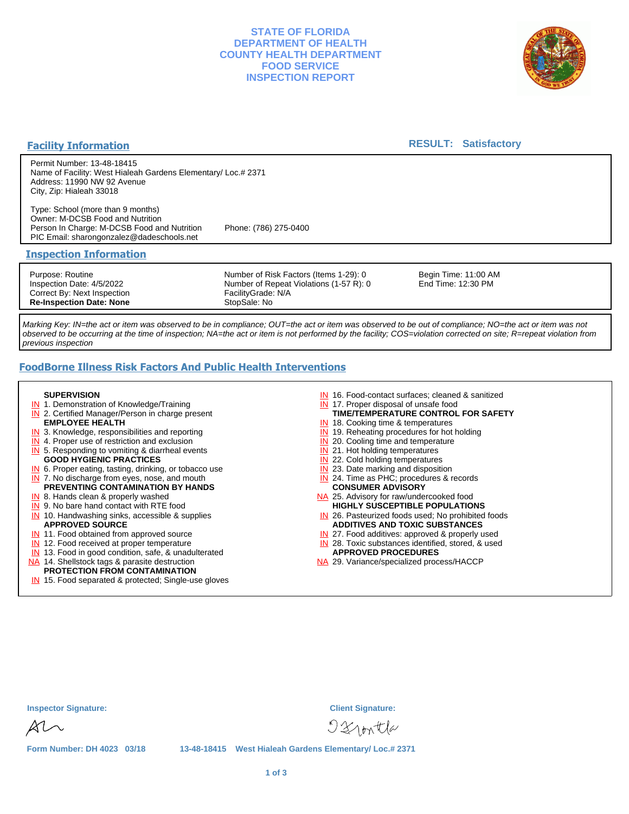# **STATE OF FLORIDA DEPARTMENT OF HEALTH COUNTY HEALTH DEPARTMENT FOOD SERVICE INSPECTION REPORT**



## **Facility Information**

# **RESULT: Satisfactory**

Permit Number: 13-48-18415 Name of Facility: West Hialeah Gardens Elementary/ Loc.# 2371 Address: 11990 NW 92 Avenue City, Zip: Hialeah 33018

Type: School (more than 9 months) Owner: M-DCSB Food and Nutrition Person In Charge: M-DCSB Food and Nutrition Phone: (786) 275-0400 PIC Email: sharongonzalez@dadeschools.net

#### **Inspection Information**

Purpose: Routine Inspection Date: 4/5/2022 Correct By: Next Inspection **Re-Inspection Date: None**

Number of Risk Factors (Items 1-29): 0 Number of Repeat Violations (1-57 R): 0 FacilityGrade: N/A StopSale: No

Begin Time: 11:00 AM End Time: 12:30 PM

Marking Key: IN=the act or item was observed to be in compliance; OUT=the act or item was observed to be out of compliance; NO=the act or item was not observed to be occurring at the time of inspection; NA=the act or item is not performed by the facility; COS=violation corrected on site; R=repeat violation from previous inspection

# **FoodBorne Illness Risk Factors And Public Health Interventions**

#### **SUPERVISION**

- **IN** 1. Demonstration of Knowledge/Training
- **IN** 2. Certified Manager/Person in charge present **EMPLOYEE HEALTH**
- **IN** 3. Knowledge, responsibilities and reporting
- **IN** 4. Proper use of restriction and exclusion
- **IN** 5. Responding to vomiting & diarrheal events
- **GOOD HYGIENIC PRACTICES**
- **IN** 6. Proper eating, tasting, drinking, or tobacco use **IN** 7. No discharge from eyes, nose, and mouth
- **PREVENTING CONTAMINATION BY HANDS**
- IN 8. Hands clean & properly washed
- **IN** 9. No bare hand contact with RTE food IN 10. Handwashing sinks, accessible & supplies **APPROVED SOURCE**
- **IN** 11. Food obtained from approved source
- **IN** 12. Food received at proper temperature
- IN 13. Food in good condition, safe, & unadulterated
- NA 14. Shellstock tags & parasite destruction

#### **PROTECTION FROM CONTAMINATION**

IN 15. Food separated & protected; Single-use gloves

- IN 16. Food-contact surfaces; cleaned & sanitized
- IN 17. Proper disposal of unsafe food
- **TIME/TEMPERATURE CONTROL FOR SAFETY**
- IN 18. Cooking time & temperatures
- **IN** 19. Reheating procedures for hot holding
- **IN** 20. Cooling time and temperature
- IN 21. Hot holding temperatures
- **IN** 22. Cold holding temperatures **IN** 23. Date marking and disposition
- IN 24. Time as PHC; procedures & records **CONSUMER ADVISORY**
- NA 25. Advisory for raw/undercooked food **HIGHLY SUSCEPTIBLE POPULATIONS**
- IN 26. Pasteurized foods used; No prohibited foods **ADDITIVES AND TOXIC SUBSTANCES**
- IN 27. Food additives: approved & properly used
- IN 28. Toxic substances identified, stored, & used **APPROVED PROCEDURES**
- NA 29. Variance/specialized process/HACCP

|  | <b>nspector Signature:</b> |
|--|----------------------------|
|--|----------------------------|

**Inspector Signature: Client Signature:**

 $D2$ nontla

**Form Number: DH 4023 03/18 13-48-18415 West Hialeah Gardens Elementary/ Loc.# 2371**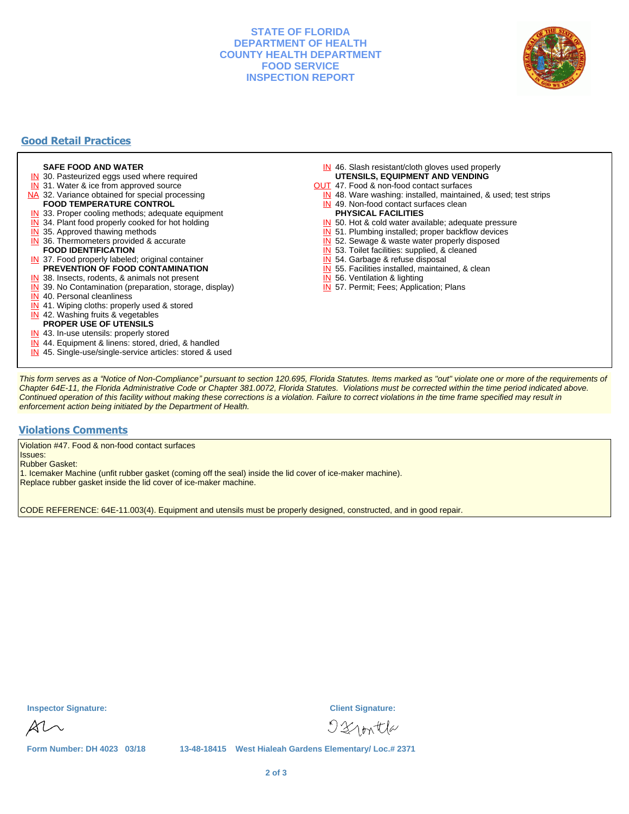# **STATE OF FLORIDA DEPARTMENT OF HEALTH COUNTY HEALTH DEPARTMENT FOOD SERVICE INSPECTION REPORT**



# **Good Retail Practices**

#### **SAFE FOOD AND WATER**

- **IN** 30. Pasteurized eggs used where required
- IN 31. Water & ice from approved source
- NA 32. Variance obtained for special processing **FOOD TEMPERATURE CONTROL**
- 
- **IN** 33. Proper cooling methods; adequate equipment
- **IN** 34. Plant food properly cooked for hot holding
- **IN** 35. Approved thawing methods
- IN 36. Thermometers provided & accurate **FOOD IDENTIFICATION**
- IN 37. Food properly labeled; original container **PREVENTION OF FOOD CONTAMINATION**
- IN 38. Insects, rodents, & animals not present
- **IN** 39. No Contamination (preparation, storage, display)
- IN 40. Personal cleanliness
- IN 41. Wiping cloths: properly used & stored
- IN 42. Washing fruits & vegetables
- **PROPER USE OF UTENSILS**
- IN 43. In-use utensils: properly stored
- IN 44. Equipment & linens: stored, dried, & handled
- IN 45. Single-use/single-service articles: stored & used
- IN 46. Slash resistant/cloth gloves used properly **UTENSILS, EQUIPMENT AND VENDING**
- OUT 47. Food & non-food contact surfaces
- IN 48. Ware washing: installed, maintained, & used; test strips
- IN 49. Non-food contact surfaces clean
- **PHYSICAL FACILITIES**
- IN 50. Hot & cold water available; adequate pressure
- IN 51. Plumbing installed; proper backflow devices
- IN 52. Sewage & waste water properly disposed

IN 55. Facilities installed, maintained, & clean

IN 53. Toilet facilities: supplied, & cleaned

IN 57. Permit; Fees; Application; Plans

IN 54. Garbage & refuse disposal

IN 56. Ventilation & lighting

This form serves as a "Notice of Non-Compliance" pursuant to section 120.695, Florida Statutes. Items marked as "out" violate one or more of the requirements of Chapter 64E-11, the Florida Administrative Code or Chapter 381.0072, Florida Statutes. Violations must be corrected within the time period indicated above. Continued operation of this facility without making these corrections is a violation. Failure to correct violations in the time frame specified may result in enforcement action being initiated by the Department of Health.

#### **Violations Comments**

Violation #47. Food & non-food contact surfaces

Issues: Rubber Gasket:

1. Icemaker Machine (unfit rubber gasket (coming off the seal) inside the lid cover of ice-maker machine).

Replace rubber gasket inside the lid cover of ice-maker machine.

CODE REFERENCE: 64E-11.003(4). Equipment and utensils must be properly designed, constructed, and in good repair.

**Inspector Signature: Client Signature:**

 $\mathbb{\mathcal{X}}\mathbb{\mathcal{M}}$ 

 $D2$ nontla

**Form Number: DH 4023 03/18 13-48-18415 West Hialeah Gardens Elementary/ Loc.# 2371**